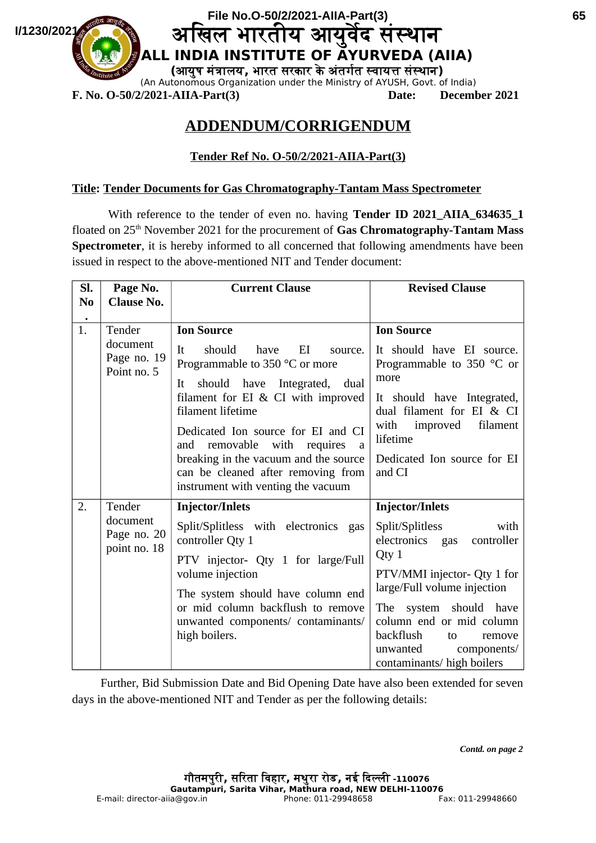

# **ADDENDUM/CORRIGENDUM**

## **Tender Ref No. O-50/2/2021-AIIA-Part(3)**

#### **Title: Tender Documents for Gas Chromatography-Tantam Mass Spectrometer**

With reference to the tender of even no. having **Tender ID 2021 AIIA 634635 1** floated on 25<sup>th</sup> November 2021 for the procurement of **Gas Chromatography-Tantam Mass Spectrometer**, it is hereby informed to all concerned that following amendments have been issued in respect to the above-mentioned NIT and Tender document:

| SI.<br>N <sub>0</sub> | Page No.<br><b>Clause No.</b>                    | <b>Current Clause</b>                                                                                                         | <b>Revised Clause</b>                                                                                                                    |
|-----------------------|--------------------------------------------------|-------------------------------------------------------------------------------------------------------------------------------|------------------------------------------------------------------------------------------------------------------------------------------|
| $\bullet$             |                                                  |                                                                                                                               |                                                                                                                                          |
| 1.                    | Tender<br>document<br>Page no. 19<br>Point no. 5 | <b>Ion Source</b>                                                                                                             | <b>Ion Source</b>                                                                                                                        |
|                       |                                                  | should<br>EI<br>It<br>have<br>source.<br>Programmable to 350 °C or more                                                       | It should have EI source.<br>Programmable to $350$ °C or<br>more                                                                         |
|                       |                                                  | should have Integrated, dual<br>It.<br>filament for EI & CI with improved<br>filament lifetime                                | It should have Integrated,<br>dual filament for EI & CI                                                                                  |
|                       |                                                  | Dedicated Ion source for EI and CI<br>removable with requires<br>and<br>a                                                     | with<br>filament<br>improved<br>lifetime                                                                                                 |
|                       |                                                  | breaking in the vacuum and the source<br>can be cleaned after removing from<br>instrument with venting the vacuum             | Dedicated Ion source for EI<br>and CI                                                                                                    |
| 2.                    | Tender                                           | <b>Injector/Inlets</b>                                                                                                        | <b>Injector/Inlets</b>                                                                                                                   |
|                       | document<br>Page no. 20<br>point no. 18          | Split/Splitless with electronics gas<br>controller Qty 1                                                                      | Split/Splitless<br>with<br>electronics gas<br>controller                                                                                 |
|                       |                                                  | PTV injector- Qty 1 for large/Full<br>volume injection                                                                        | Qty1<br>PTV/MMI injector- Qty 1 for                                                                                                      |
|                       |                                                  | The system should have column end<br>or mid column backflush to remove<br>unwanted components/ contaminants/<br>high boilers. | large/Full volume injection                                                                                                              |
|                       |                                                  |                                                                                                                               | The system should have<br>column end or mid column<br>backflush<br>to<br>remove<br>unwanted<br>components/<br>contaminants/ high boilers |

Further, Bid Submission Date and Bid Opening Date have also been extended for seven days in the above-mentioned NIT and Tender as per the following details:

*Contd. on page 2*